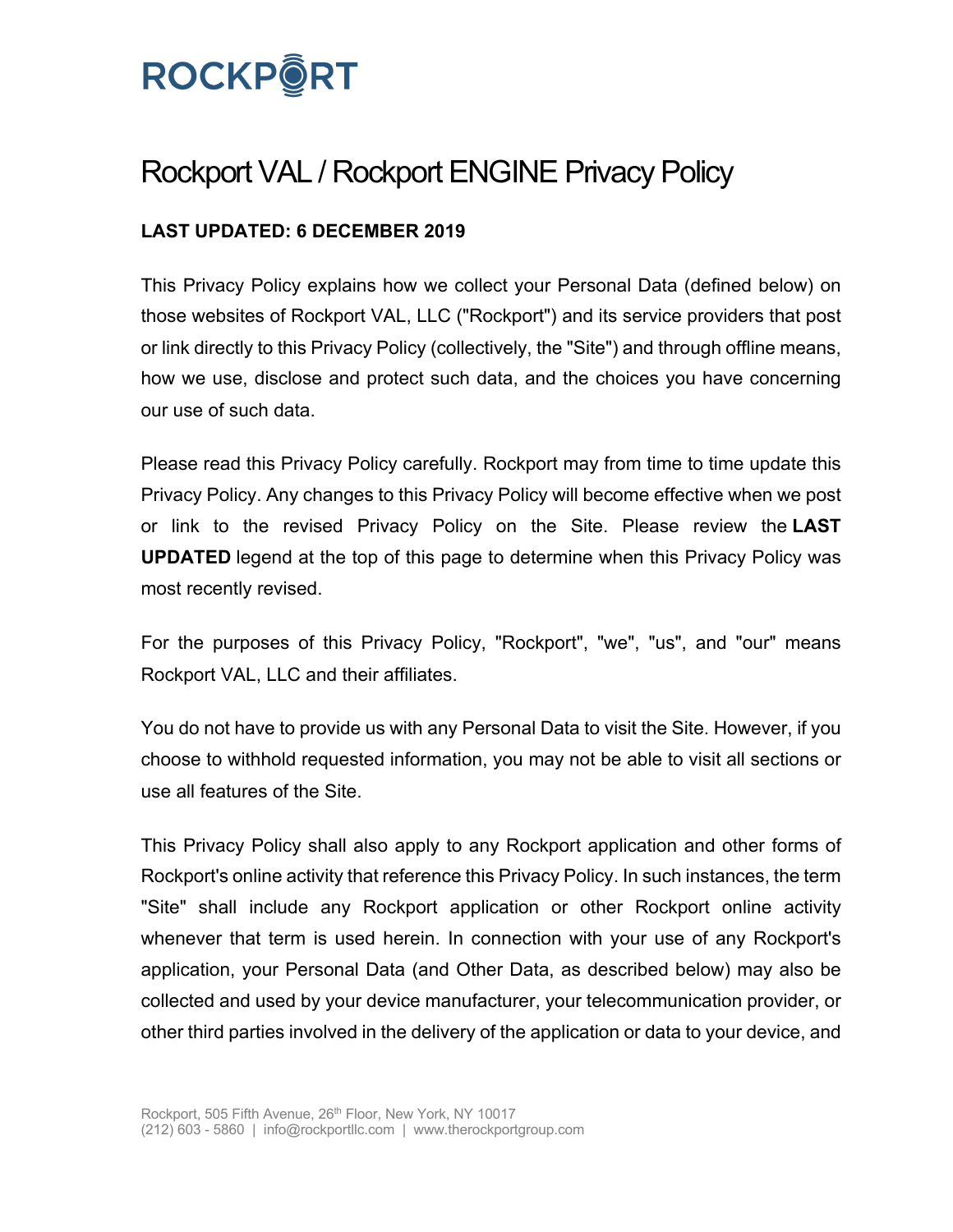

# Rockport VAL / Rockport ENGINE Privacy Policy

# **LAST UPDATED: 6 DECEMBER 2019**

This Privacy Policy explains how we collect your Personal Data (defined below) on those websites of Rockport VAL, LLC ("Rockport") and its service providers that post or link directly to this Privacy Policy (collectively, the "Site") and through offline means, how we use, disclose and protect such data, and the choices you have concerning our use of such data.

Please read this Privacy Policy carefully. Rockport may from time to time update this Privacy Policy. Any changes to this Privacy Policy will become effective when we post or link to the revised Privacy Policy on the Site. Please review the **LAST UPDATED** legend at the top of this page to determine when this Privacy Policy was most recently revised.

For the purposes of this Privacy Policy, "Rockport", "we", "us", and "our" means Rockport VAL, LLC and their affiliates.

You do not have to provide us with any Personal Data to visit the Site. However, if you choose to withhold requested information, you may not be able to visit all sections or use all features of the Site.

This Privacy Policy shall also apply to any Rockport application and other forms of Rockport's online activity that reference this Privacy Policy. In such instances, the term "Site" shall include any Rockport application or other Rockport online activity whenever that term is used herein. In connection with your use of any Rockport's application, your Personal Data (and Other Data, as described below) may also be collected and used by your device manufacturer, your telecommunication provider, or other third parties involved in the delivery of the application or data to your device, and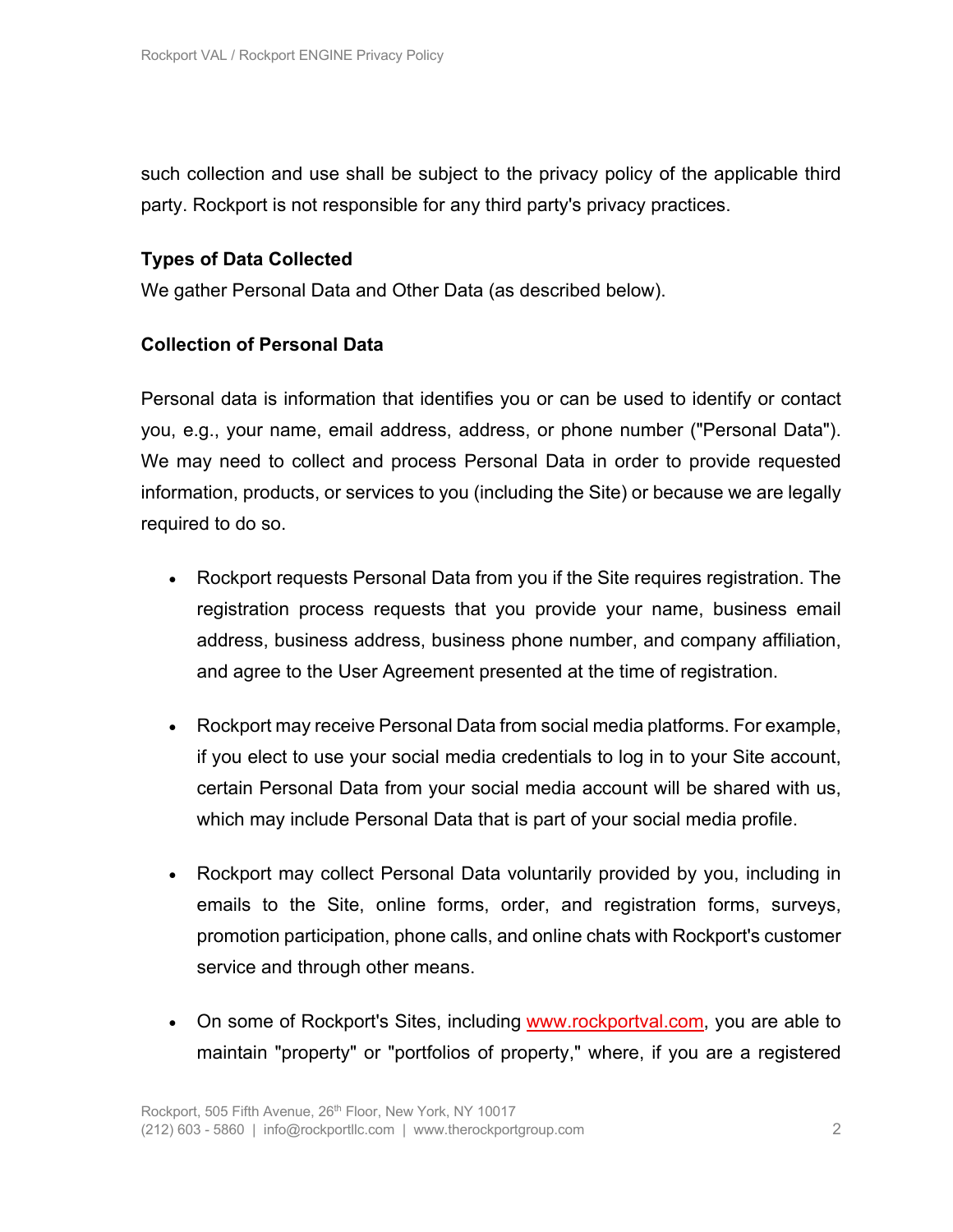such collection and use shall be subject to the privacy policy of the applicable third party. Rockport is not responsible for any third party's privacy practices.

## **Types of Data Collected**

We gather Personal Data and Other Data (as described below).

#### **Collection of Personal Data**

Personal data is information that identifies you or can be used to identify or contact you, e.g., your name, email address, address, or phone number ("Personal Data"). We may need to collect and process Personal Data in order to provide requested information, products, or services to you (including the Site) or because we are legally required to do so.

- Rockport requests Personal Data from you if the Site requires registration. The registration process requests that you provide your name, business email address, business address, business phone number, and company affiliation, and agree to the User Agreement presented at the time of registration.
- Rockport may receive Personal Data from social media platforms. For example, if you elect to use your social media credentials to log in to your Site account, certain Personal Data from your social media account will be shared with us, which may include Personal Data that is part of your social media profile.
- Rockport may collect Personal Data voluntarily provided by you, including in emails to the Site, online forms, order, and registration forms, surveys, promotion participation, phone calls, and online chats with Rockport's customer service and through other means.
- On some of Rockport's Sites, including www.rockportval.com, you are able to maintain "property" or "portfolios of property," where, if you are a registered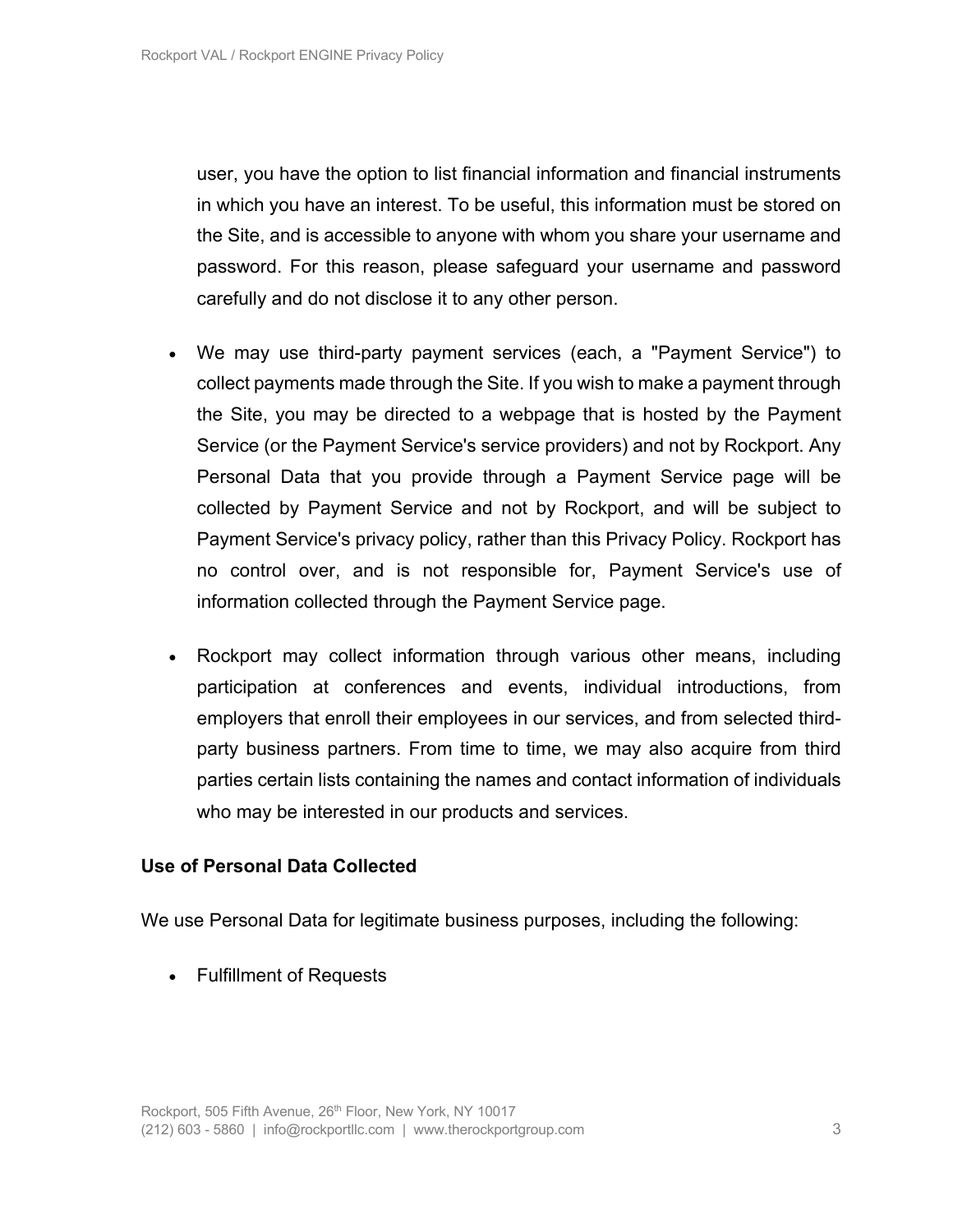user, you have the option to list financial information and financial instruments in which you have an interest. To be useful, this information must be stored on the Site, and is accessible to anyone with whom you share your username and password. For this reason, please safeguard your username and password carefully and do not disclose it to any other person.

- We may use third-party payment services (each, a "Payment Service") to collect payments made through the Site. If you wish to make a payment through the Site, you may be directed to a webpage that is hosted by the Payment Service (or the Payment Service's service providers) and not by Rockport. Any Personal Data that you provide through a Payment Service page will be collected by Payment Service and not by Rockport, and will be subject to Payment Service's privacy policy, rather than this Privacy Policy. Rockport has no control over, and is not responsible for, Payment Service's use of information collected through the Payment Service page.
- Rockport may collect information through various other means, including participation at conferences and events, individual introductions, from employers that enroll their employees in our services, and from selected thirdparty business partners. From time to time, we may also acquire from third parties certain lists containing the names and contact information of individuals who may be interested in our products and services.

#### **Use of Personal Data Collected**

We use Personal Data for legitimate business purposes, including the following:

• Fulfillment of Requests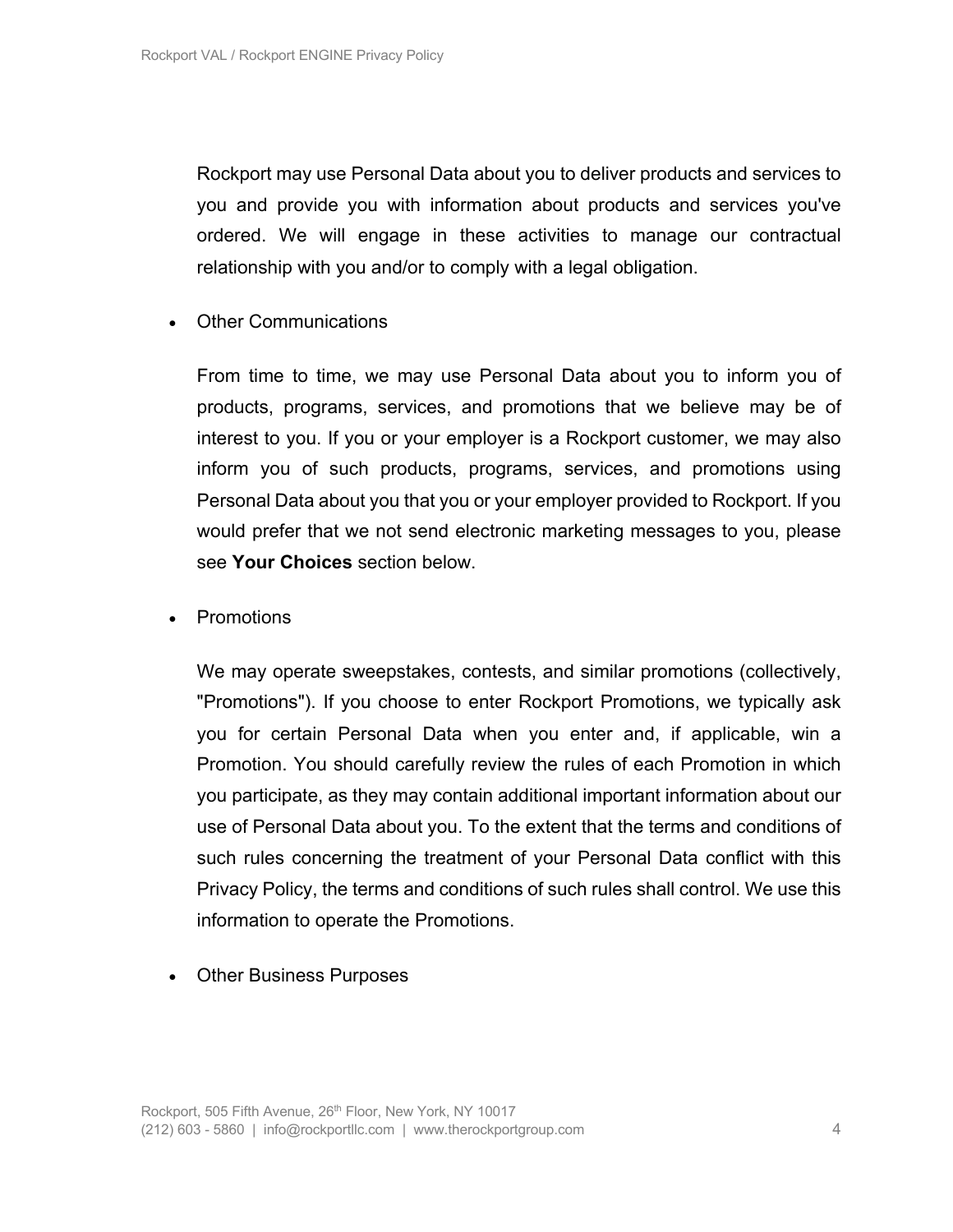Rockport may use Personal Data about you to deliver products and services to you and provide you with information about products and services you've ordered. We will engage in these activities to manage our contractual relationship with you and/or to comply with a legal obligation.

• Other Communications

From time to time, we may use Personal Data about you to inform you of products, programs, services, and promotions that we believe may be of interest to you. If you or your employer is a Rockport customer, we may also inform you of such products, programs, services, and promotions using Personal Data about you that you or your employer provided to Rockport. If you would prefer that we not send electronic marketing messages to you, please see **Your Choices** section below.

• Promotions

We may operate sweepstakes, contests, and similar promotions (collectively, "Promotions"). If you choose to enter Rockport Promotions, we typically ask you for certain Personal Data when you enter and, if applicable, win a Promotion. You should carefully review the rules of each Promotion in which you participate, as they may contain additional important information about our use of Personal Data about you. To the extent that the terms and conditions of such rules concerning the treatment of your Personal Data conflict with this Privacy Policy, the terms and conditions of such rules shall control. We use this information to operate the Promotions.

• Other Business Purposes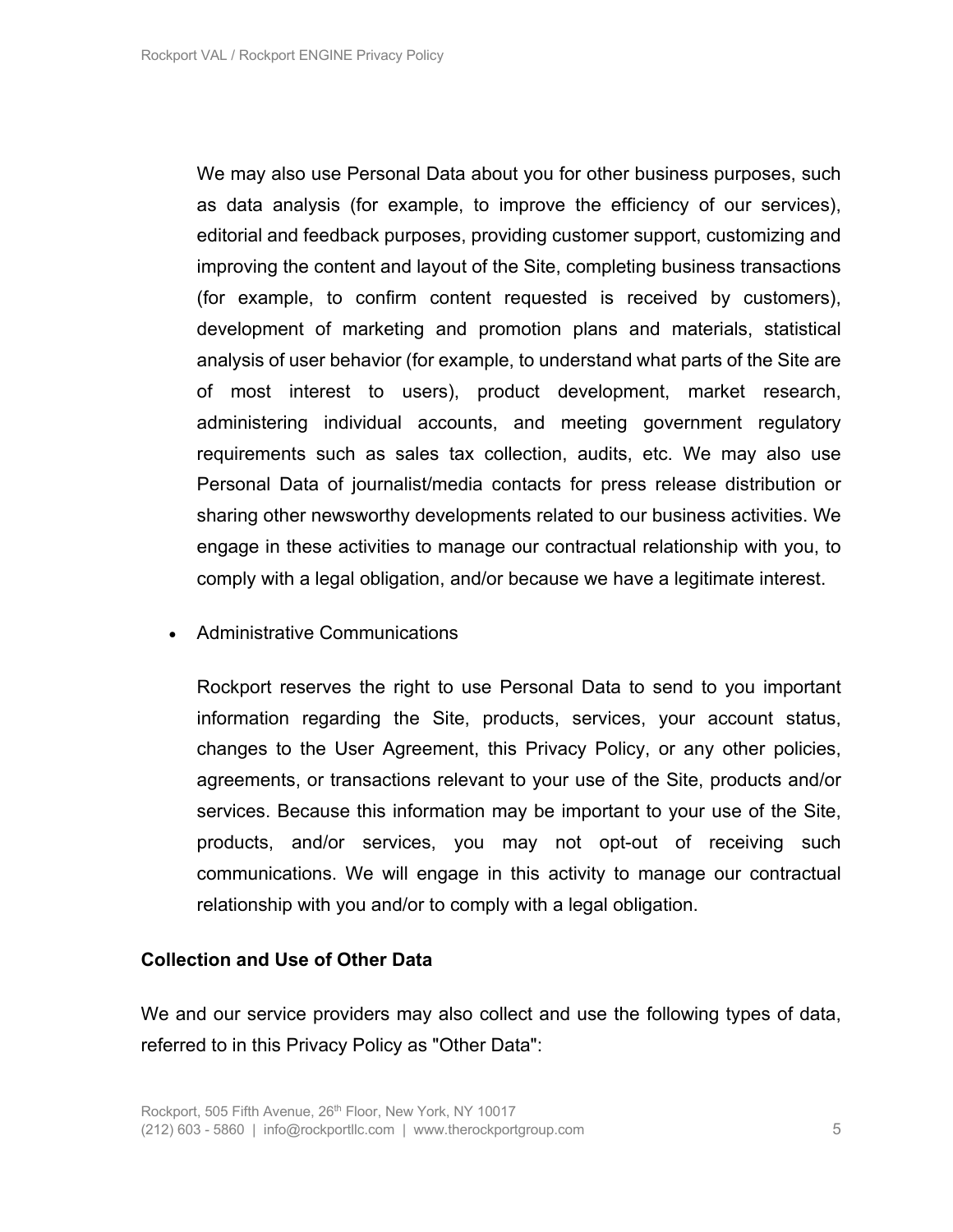We may also use Personal Data about you for other business purposes, such as data analysis (for example, to improve the efficiency of our services), editorial and feedback purposes, providing customer support, customizing and improving the content and layout of the Site, completing business transactions (for example, to confirm content requested is received by customers), development of marketing and promotion plans and materials, statistical analysis of user behavior (for example, to understand what parts of the Site are of most interest to users), product development, market research, administering individual accounts, and meeting government regulatory requirements such as sales tax collection, audits, etc. We may also use Personal Data of journalist/media contacts for press release distribution or sharing other newsworthy developments related to our business activities. We engage in these activities to manage our contractual relationship with you, to comply with a legal obligation, and/or because we have a legitimate interest.

#### • Administrative Communications

Rockport reserves the right to use Personal Data to send to you important information regarding the Site, products, services, your account status, changes to the User Agreement, this Privacy Policy, or any other policies, agreements, or transactions relevant to your use of the Site, products and/or services. Because this information may be important to your use of the Site, products, and/or services, you may not opt-out of receiving such communications. We will engage in this activity to manage our contractual relationship with you and/or to comply with a legal obligation.

#### **Collection and Use of Other Data**

We and our service providers may also collect and use the following types of data, referred to in this Privacy Policy as "Other Data":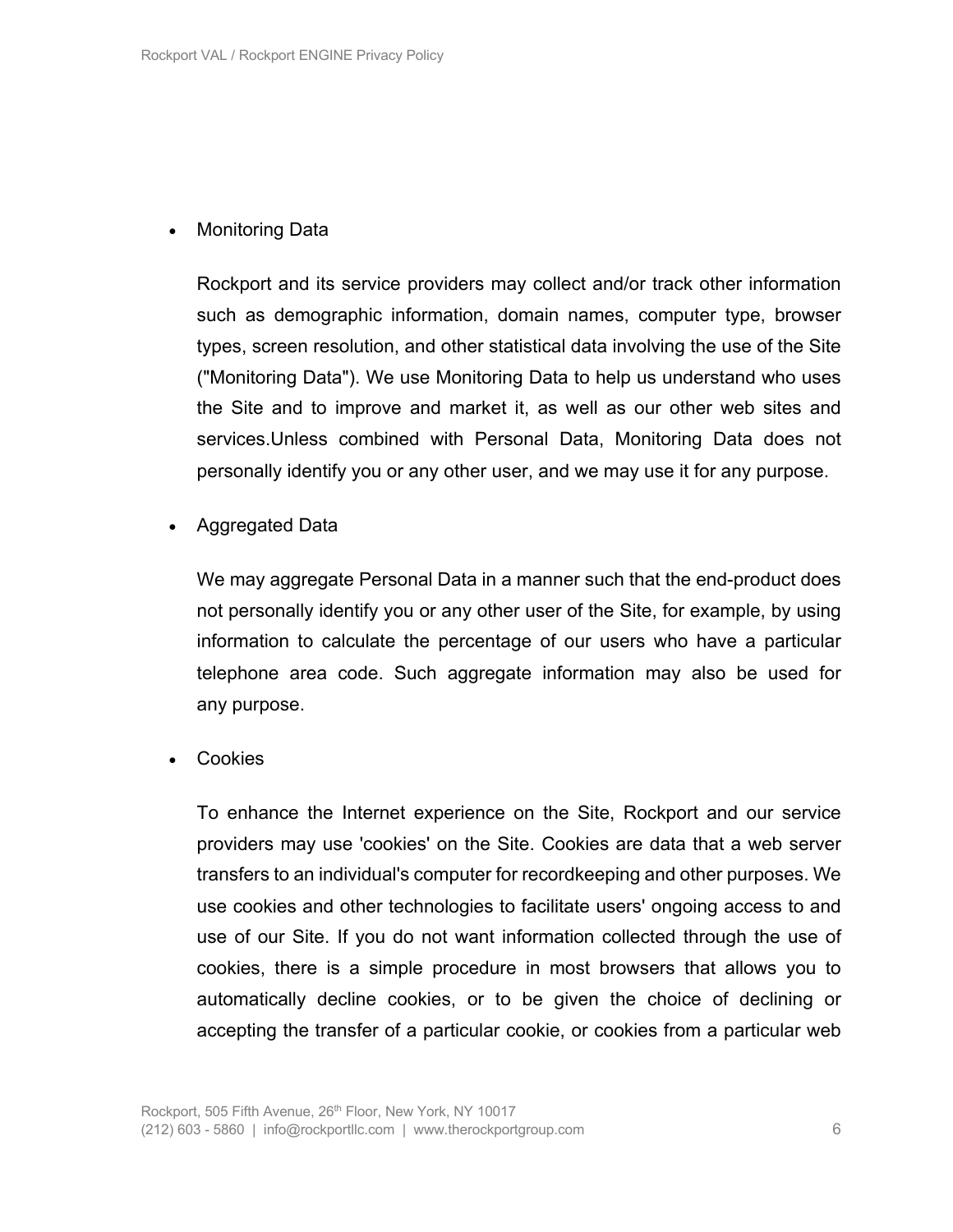## • Monitoring Data

Rockport and its service providers may collect and/or track other information such as demographic information, domain names, computer type, browser types, screen resolution, and other statistical data involving the use of the Site ("Monitoring Data"). We use Monitoring Data to help us understand who uses the Site and to improve and market it, as well as our other web sites and services.Unless combined with Personal Data, Monitoring Data does not personally identify you or any other user, and we may use it for any purpose.

• Aggregated Data

We may aggregate Personal Data in a manner such that the end-product does not personally identify you or any other user of the Site, for example, by using information to calculate the percentage of our users who have a particular telephone area code. Such aggregate information may also be used for any purpose.

• Cookies

To enhance the Internet experience on the Site, Rockport and our service providers may use 'cookies' on the Site. Cookies are data that a web server transfers to an individual's computer for recordkeeping and other purposes. We use cookies and other technologies to facilitate users' ongoing access to and use of our Site. If you do not want information collected through the use of cookies, there is a simple procedure in most browsers that allows you to automatically decline cookies, or to be given the choice of declining or accepting the transfer of a particular cookie, or cookies from a particular web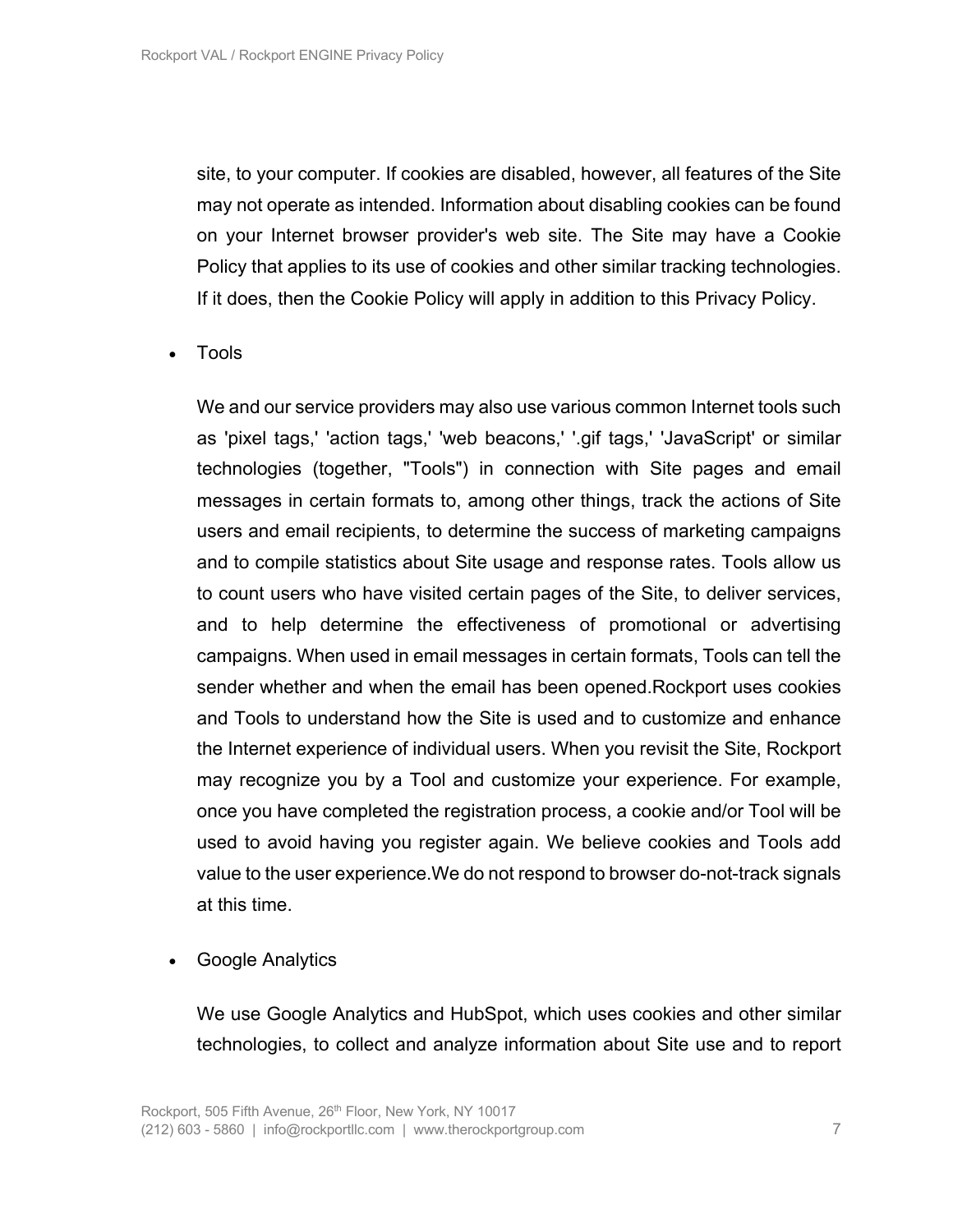site, to your computer. If cookies are disabled, however, all features of the Site may not operate as intended. Information about disabling cookies can be found on your Internet browser provider's web site. The Site may have a Cookie Policy that applies to its use of cookies and other similar tracking technologies. If it does, then the Cookie Policy will apply in addition to this Privacy Policy.

• Tools

We and our service providers may also use various common Internet tools such as 'pixel tags,' 'action tags,' 'web beacons,' '.gif tags,' 'JavaScript' or similar technologies (together, "Tools") in connection with Site pages and email messages in certain formats to, among other things, track the actions of Site users and email recipients, to determine the success of marketing campaigns and to compile statistics about Site usage and response rates. Tools allow us to count users who have visited certain pages of the Site, to deliver services, and to help determine the effectiveness of promotional or advertising campaigns. When used in email messages in certain formats, Tools can tell the sender whether and when the email has been opened.Rockport uses cookies and Tools to understand how the Site is used and to customize and enhance the Internet experience of individual users. When you revisit the Site, Rockport may recognize you by a Tool and customize your experience. For example, once you have completed the registration process, a cookie and/or Tool will be used to avoid having you register again. We believe cookies and Tools add value to the user experience.We do not respond to browser do-not-track signals at this time.

• Google Analytics

We use Google Analytics and HubSpot, which uses cookies and other similar technologies, to collect and analyze information about Site use and to report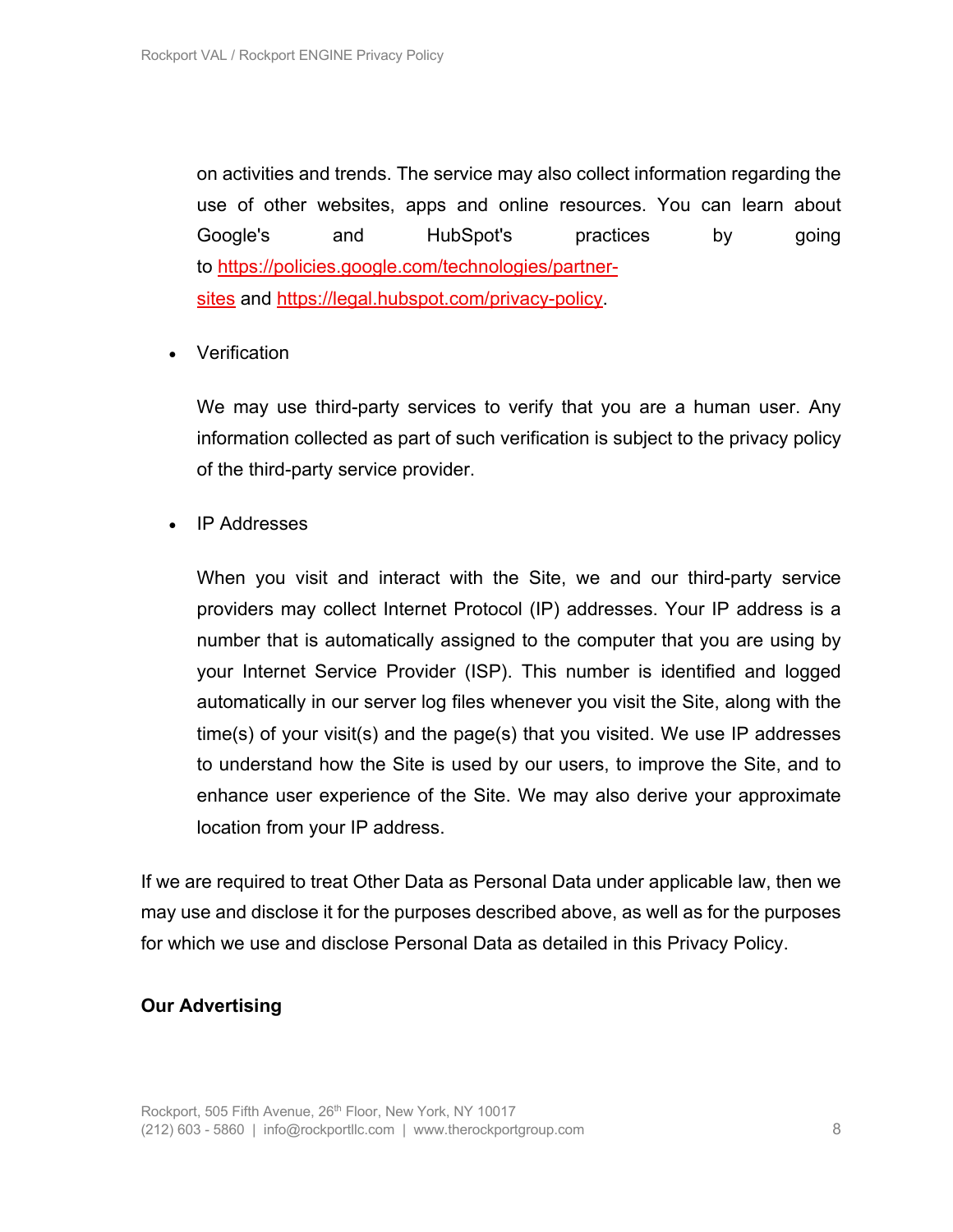on activities and trends. The service may also collect information regarding the use of other websites, apps and online resources. You can learn about Google's and HubSpot's practices by going to https://policies.google.com/technologies/partnersites and https://legal.hubspot.com/privacy-policy.

• Verification

We may use third-party services to verify that you are a human user. Any information collected as part of such verification is subject to the privacy policy of the third-party service provider.

• IP Addresses

When you visit and interact with the Site, we and our third-party service providers may collect Internet Protocol (IP) addresses. Your IP address is a number that is automatically assigned to the computer that you are using by your Internet Service Provider (ISP). This number is identified and logged automatically in our server log files whenever you visit the Site, along with the time(s) of your visit(s) and the page(s) that you visited. We use IP addresses to understand how the Site is used by our users, to improve the Site, and to enhance user experience of the Site. We may also derive your approximate location from your IP address.

If we are required to treat Other Data as Personal Data under applicable law, then we may use and disclose it for the purposes described above, as well as for the purposes for which we use and disclose Personal Data as detailed in this Privacy Policy.

#### **Our Advertising**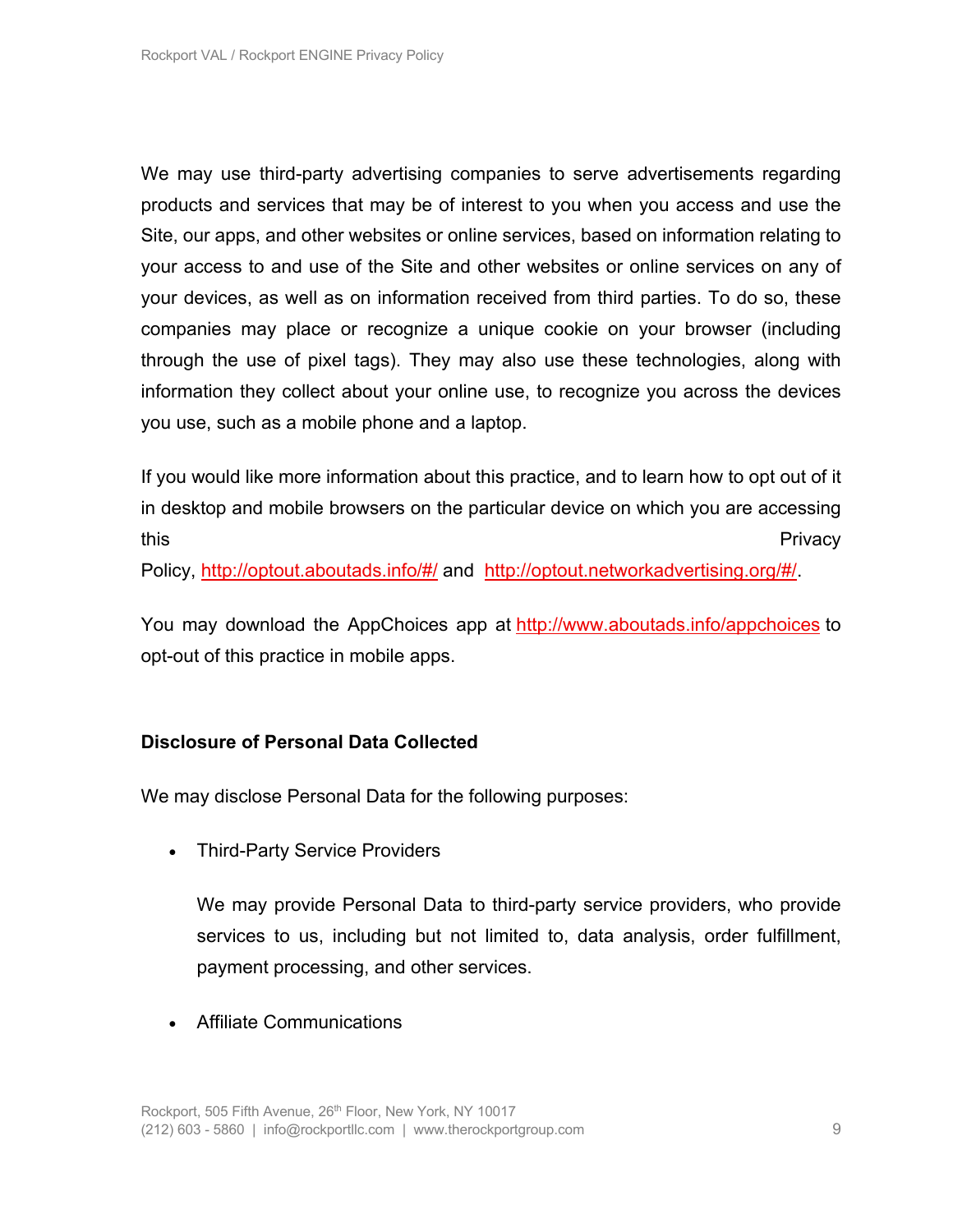We may use third-party advertising companies to serve advertisements regarding products and services that may be of interest to you when you access and use the Site, our apps, and other websites or online services, based on information relating to your access to and use of the Site and other websites or online services on any of your devices, as well as on information received from third parties. To do so, these companies may place or recognize a unique cookie on your browser (including through the use of pixel tags). They may also use these technologies, along with information they collect about your online use, to recognize you across the devices you use, such as a mobile phone and a laptop.

If you would like more information about this practice, and to learn how to opt out of it in desktop and mobile browsers on the particular device on which you are accessing this **the contract of the contract of the contract of the contract of the contract of the contract of the contract of the contract of the contract of the contract of the contract of the contract of the contract of the cont** 

Policy, http://optout.aboutads.info/#/ and http://optout.networkadvertising.org/#/.

You may download the AppChoices app at http://www.aboutads.info/appchoices to opt-out of this practice in mobile apps.

#### **Disclosure of Personal Data Collected**

We may disclose Personal Data for the following purposes:

• Third-Party Service Providers

We may provide Personal Data to third-party service providers, who provide services to us, including but not limited to, data analysis, order fulfillment, payment processing, and other services.

• Affiliate Communications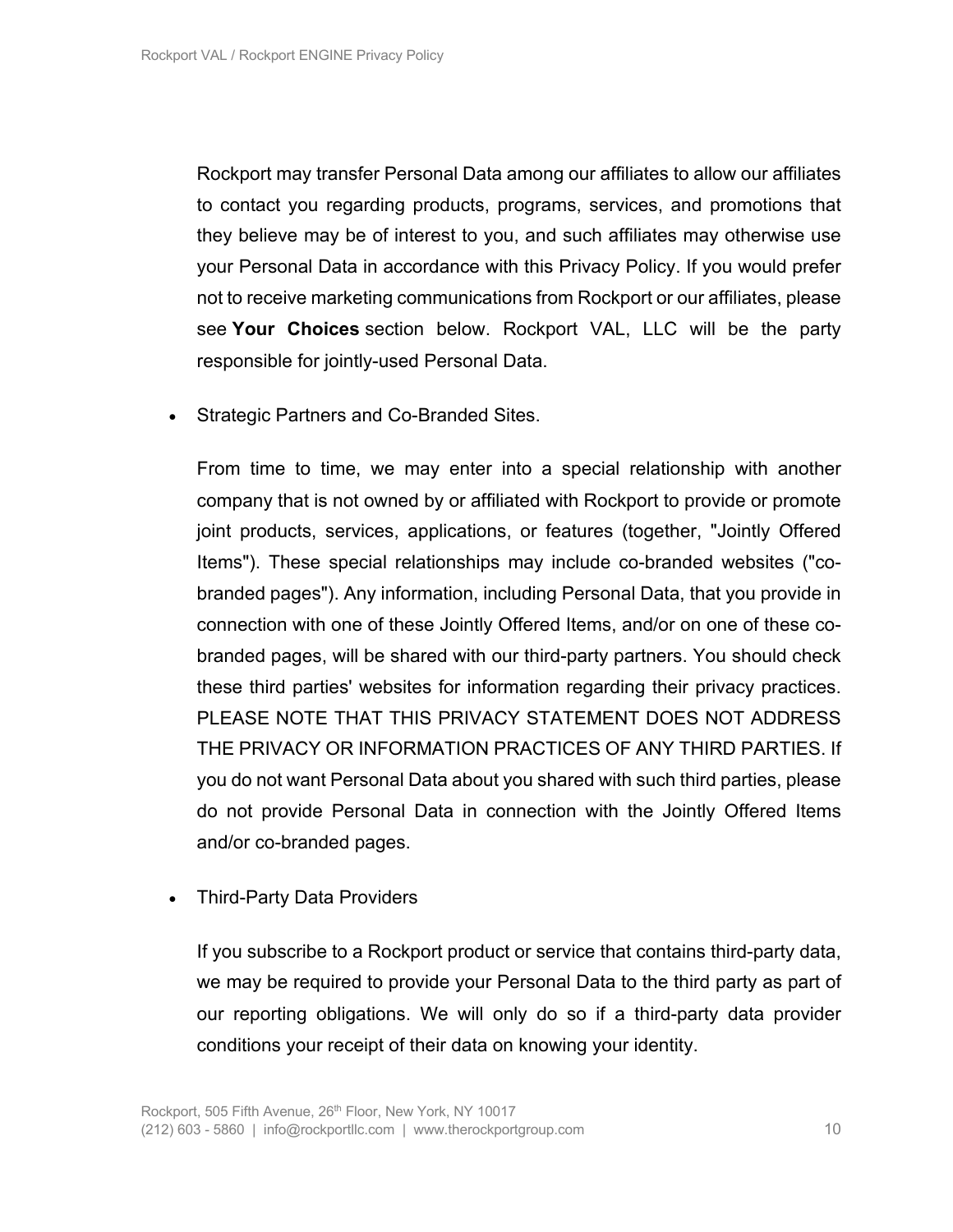Rockport may transfer Personal Data among our affiliates to allow our affiliates to contact you regarding products, programs, services, and promotions that they believe may be of interest to you, and such affiliates may otherwise use your Personal Data in accordance with this Privacy Policy. If you would prefer not to receive marketing communications from Rockport or our affiliates, please see **Your Choices** section below. Rockport VAL, LLC will be the party responsible for jointly-used Personal Data.

• Strategic Partners and Co-Branded Sites.

From time to time, we may enter into a special relationship with another company that is not owned by or affiliated with Rockport to provide or promote joint products, services, applications, or features (together, "Jointly Offered Items"). These special relationships may include co-branded websites ("cobranded pages"). Any information, including Personal Data, that you provide in connection with one of these Jointly Offered Items, and/or on one of these cobranded pages, will be shared with our third-party partners. You should check these third parties' websites for information regarding their privacy practices. PLEASE NOTE THAT THIS PRIVACY STATEMENT DOES NOT ADDRESS THE PRIVACY OR INFORMATION PRACTICES OF ANY THIRD PARTIES. If you do not want Personal Data about you shared with such third parties, please do not provide Personal Data in connection with the Jointly Offered Items and/or co-branded pages.

• Third-Party Data Providers

If you subscribe to a Rockport product or service that contains third-party data, we may be required to provide your Personal Data to the third party as part of our reporting obligations. We will only do so if a third-party data provider conditions your receipt of their data on knowing your identity.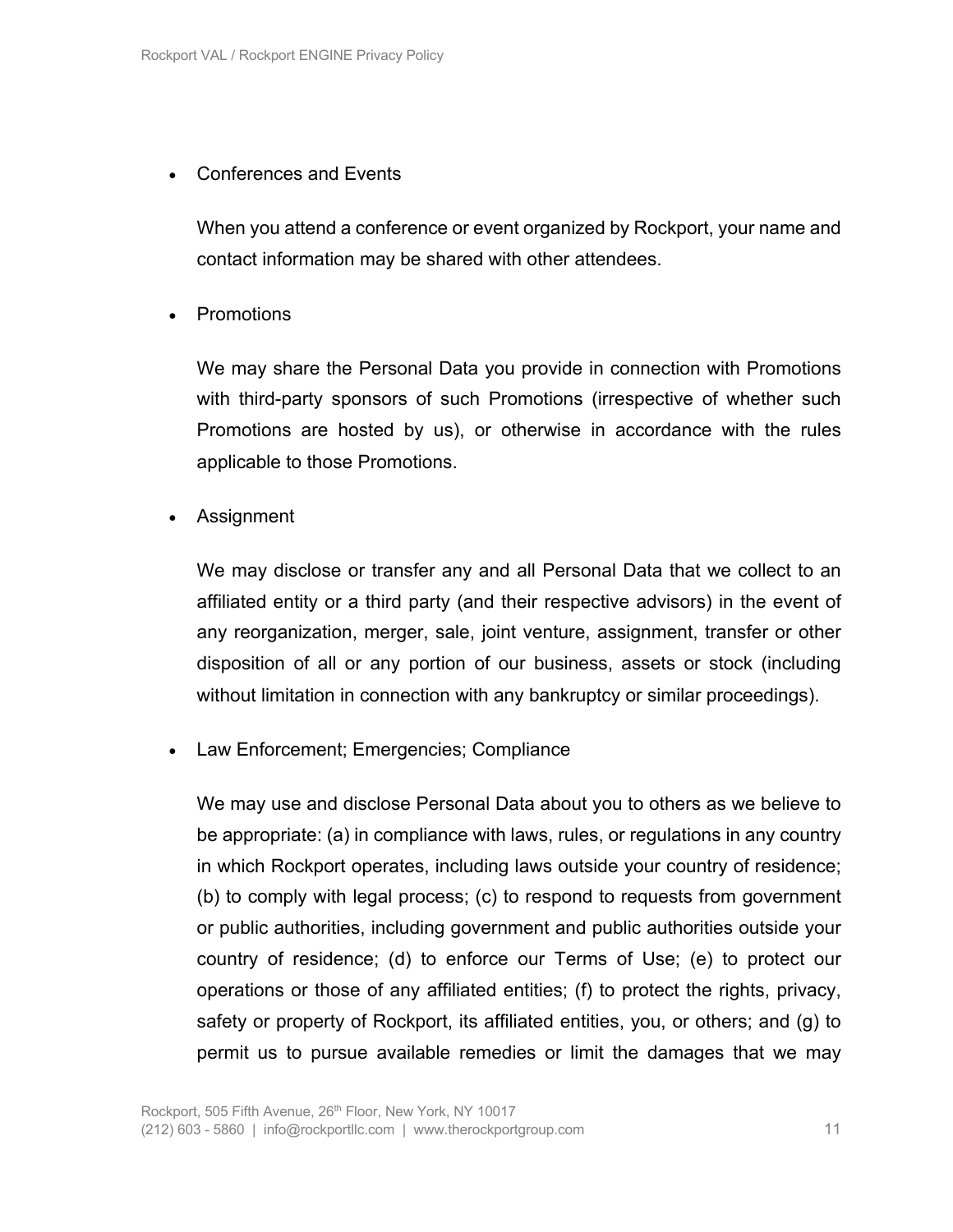## • Conferences and Events

When you attend a conference or event organized by Rockport, your name and contact information may be shared with other attendees.

• Promotions

We may share the Personal Data you provide in connection with Promotions with third-party sponsors of such Promotions (irrespective of whether such Promotions are hosted by us), or otherwise in accordance with the rules applicable to those Promotions.

• Assignment

We may disclose or transfer any and all Personal Data that we collect to an affiliated entity or a third party (and their respective advisors) in the event of any reorganization, merger, sale, joint venture, assignment, transfer or other disposition of all or any portion of our business, assets or stock (including without limitation in connection with any bankruptcy or similar proceedings).

• Law Enforcement; Emergencies; Compliance

We may use and disclose Personal Data about you to others as we believe to be appropriate: (a) in compliance with laws, rules, or regulations in any country in which Rockport operates, including laws outside your country of residence; (b) to comply with legal process; (c) to respond to requests from government or public authorities, including government and public authorities outside your country of residence; (d) to enforce our Terms of Use; (e) to protect our operations or those of any affiliated entities; (f) to protect the rights, privacy, safety or property of Rockport, its affiliated entities, you, or others; and (g) to permit us to pursue available remedies or limit the damages that we may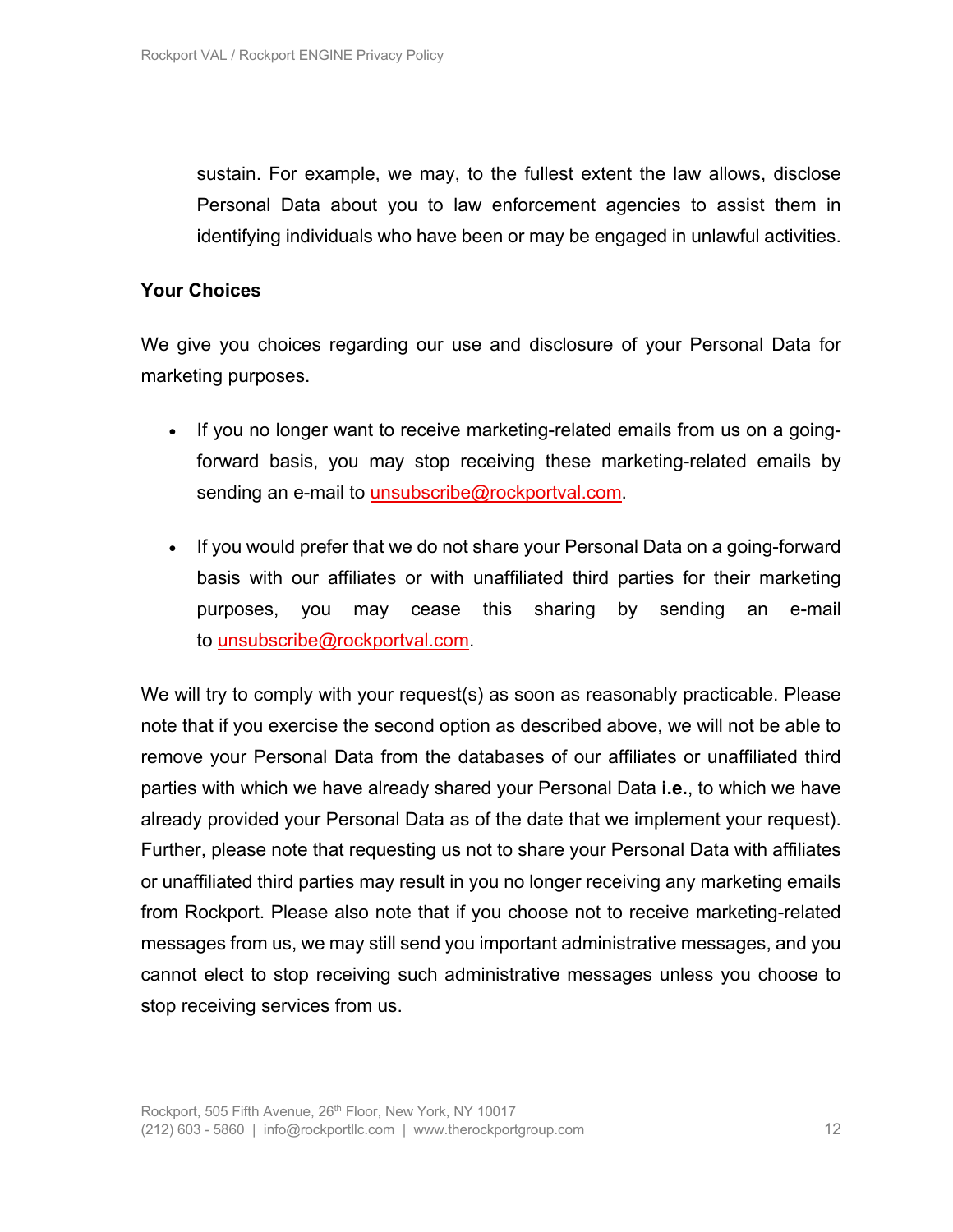sustain. For example, we may, to the fullest extent the law allows, disclose Personal Data about you to law enforcement agencies to assist them in identifying individuals who have been or may be engaged in unlawful activities.

#### **Your Choices**

We give you choices regarding our use and disclosure of your Personal Data for marketing purposes.

- If you no longer want to receive marketing-related emails from us on a goingforward basis, you may stop receiving these marketing-related emails by sending an e-mail to unsubscribe@rockportval.com.
- If you would prefer that we do not share your Personal Data on a going-forward basis with our affiliates or with unaffiliated third parties for their marketing purposes, you may cease this sharing by sending an e-mail to unsubscribe@rockportval.com.

We will try to comply with your request(s) as soon as reasonably practicable. Please note that if you exercise the second option as described above, we will not be able to remove your Personal Data from the databases of our affiliates or unaffiliated third parties with which we have already shared your Personal Data **i.e.**, to which we have already provided your Personal Data as of the date that we implement your request). Further, please note that requesting us not to share your Personal Data with affiliates or unaffiliated third parties may result in you no longer receiving any marketing emails from Rockport. Please also note that if you choose not to receive marketing-related messages from us, we may still send you important administrative messages, and you cannot elect to stop receiving such administrative messages unless you choose to stop receiving services from us.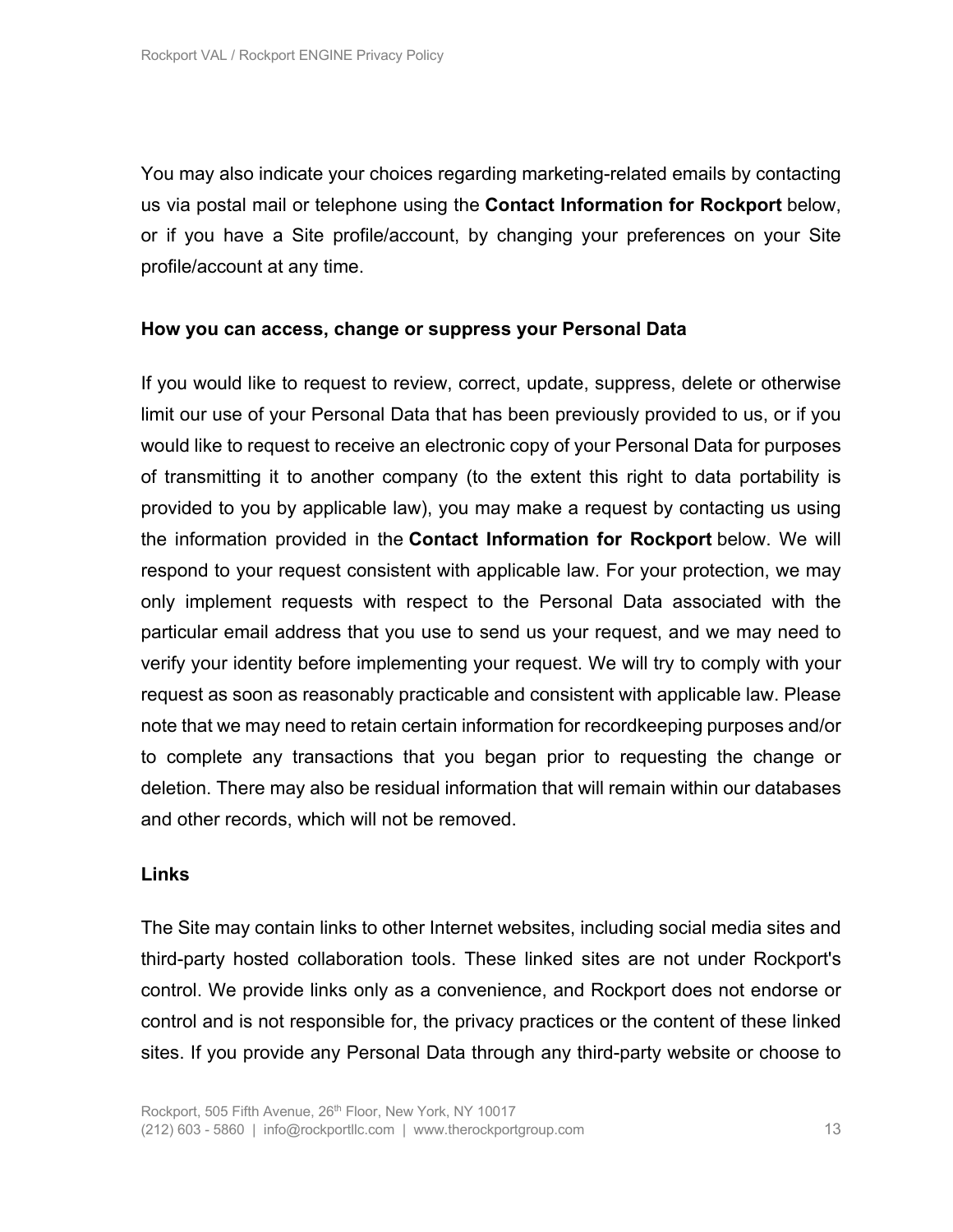You may also indicate your choices regarding marketing-related emails by contacting us via postal mail or telephone using the **Contact Information for Rockport** below, or if you have a Site profile/account, by changing your preferences on your Site profile/account at any time.

#### **How you can access, change or suppress your Personal Data**

If you would like to request to review, correct, update, suppress, delete or otherwise limit our use of your Personal Data that has been previously provided to us, or if you would like to request to receive an electronic copy of your Personal Data for purposes of transmitting it to another company (to the extent this right to data portability is provided to you by applicable law), you may make a request by contacting us using the information provided in the **Contact Information for Rockport** below. We will respond to your request consistent with applicable law. For your protection, we may only implement requests with respect to the Personal Data associated with the particular email address that you use to send us your request, and we may need to verify your identity before implementing your request. We will try to comply with your request as soon as reasonably practicable and consistent with applicable law. Please note that we may need to retain certain information for recordkeeping purposes and/or to complete any transactions that you began prior to requesting the change or deletion. There may also be residual information that will remain within our databases and other records, which will not be removed.

#### **Links**

The Site may contain links to other Internet websites, including social media sites and third-party hosted collaboration tools. These linked sites are not under Rockport's control. We provide links only as a convenience, and Rockport does not endorse or control and is not responsible for, the privacy practices or the content of these linked sites. If you provide any Personal Data through any third-party website or choose to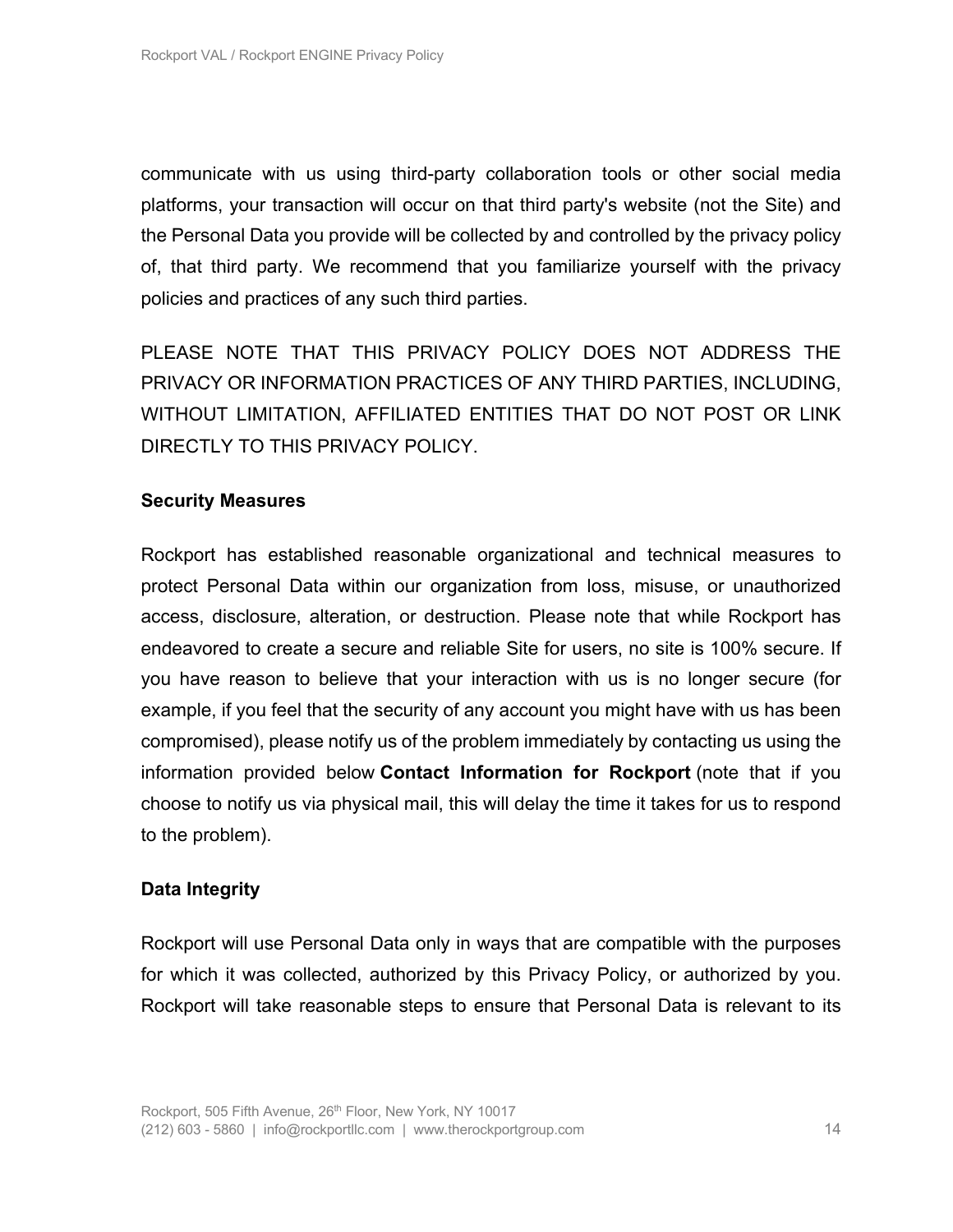communicate with us using third-party collaboration tools or other social media platforms, your transaction will occur on that third party's website (not the Site) and the Personal Data you provide will be collected by and controlled by the privacy policy of, that third party. We recommend that you familiarize yourself with the privacy policies and practices of any such third parties.

PLEASE NOTE THAT THIS PRIVACY POLICY DOES NOT ADDRESS THE PRIVACY OR INFORMATION PRACTICES OF ANY THIRD PARTIES, INCLUDING, WITHOUT LIMITATION, AFFILIATED ENTITIES THAT DO NOT POST OR LINK DIRECTLY TO THIS PRIVACY POLICY.

#### **Security Measures**

Rockport has established reasonable organizational and technical measures to protect Personal Data within our organization from loss, misuse, or unauthorized access, disclosure, alteration, or destruction. Please note that while Rockport has endeavored to create a secure and reliable Site for users, no site is 100% secure. If you have reason to believe that your interaction with us is no longer secure (for example, if you feel that the security of any account you might have with us has been compromised), please notify us of the problem immediately by contacting us using the information provided below **Contact Information for Rockport** (note that if you choose to notify us via physical mail, this will delay the time it takes for us to respond to the problem).

# **Data Integrity**

Rockport will use Personal Data only in ways that are compatible with the purposes for which it was collected, authorized by this Privacy Policy, or authorized by you. Rockport will take reasonable steps to ensure that Personal Data is relevant to its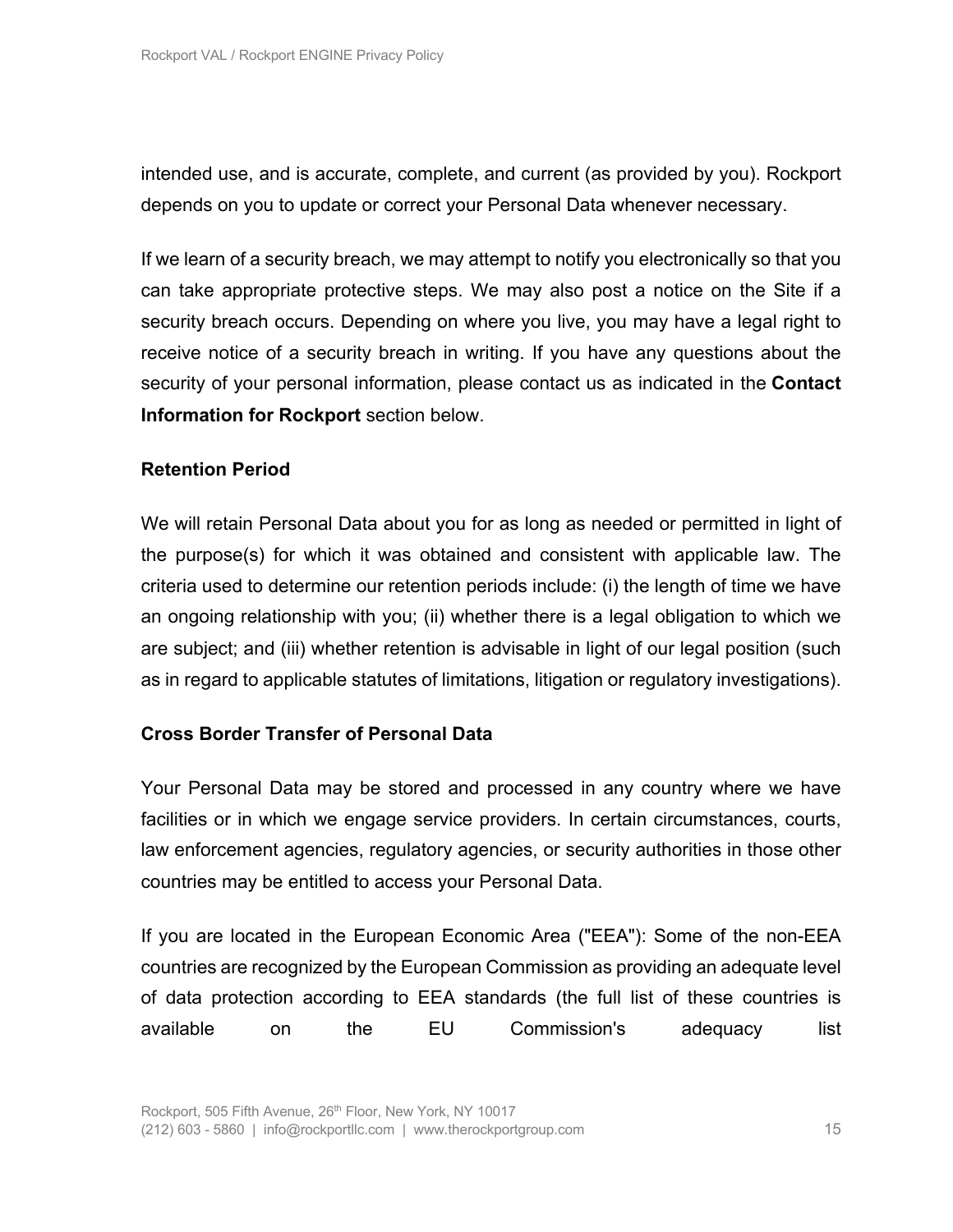intended use, and is accurate, complete, and current (as provided by you). Rockport depends on you to update or correct your Personal Data whenever necessary.

If we learn of a security breach, we may attempt to notify you electronically so that you can take appropriate protective steps. We may also post a notice on the Site if a security breach occurs. Depending on where you live, you may have a legal right to receive notice of a security breach in writing. If you have any questions about the security of your personal information, please contact us as indicated in the **Contact Information for Rockport** section below.

## **Retention Period**

We will retain Personal Data about you for as long as needed or permitted in light of the purpose(s) for which it was obtained and consistent with applicable law. The criteria used to determine our retention periods include: (i) the length of time we have an ongoing relationship with you; (ii) whether there is a legal obligation to which we are subject; and (iii) whether retention is advisable in light of our legal position (such as in regard to applicable statutes of limitations, litigation or regulatory investigations).

# **Cross Border Transfer of Personal Data**

Your Personal Data may be stored and processed in any country where we have facilities or in which we engage service providers. In certain circumstances, courts, law enforcement agencies, regulatory agencies, or security authorities in those other countries may be entitled to access your Personal Data.

If you are located in the European Economic Area ("EEA"): Some of the non-EEA countries are recognized by the European Commission as providing an adequate level of data protection according to EEA standards (the full list of these countries is available on the EU Commission's adequacy list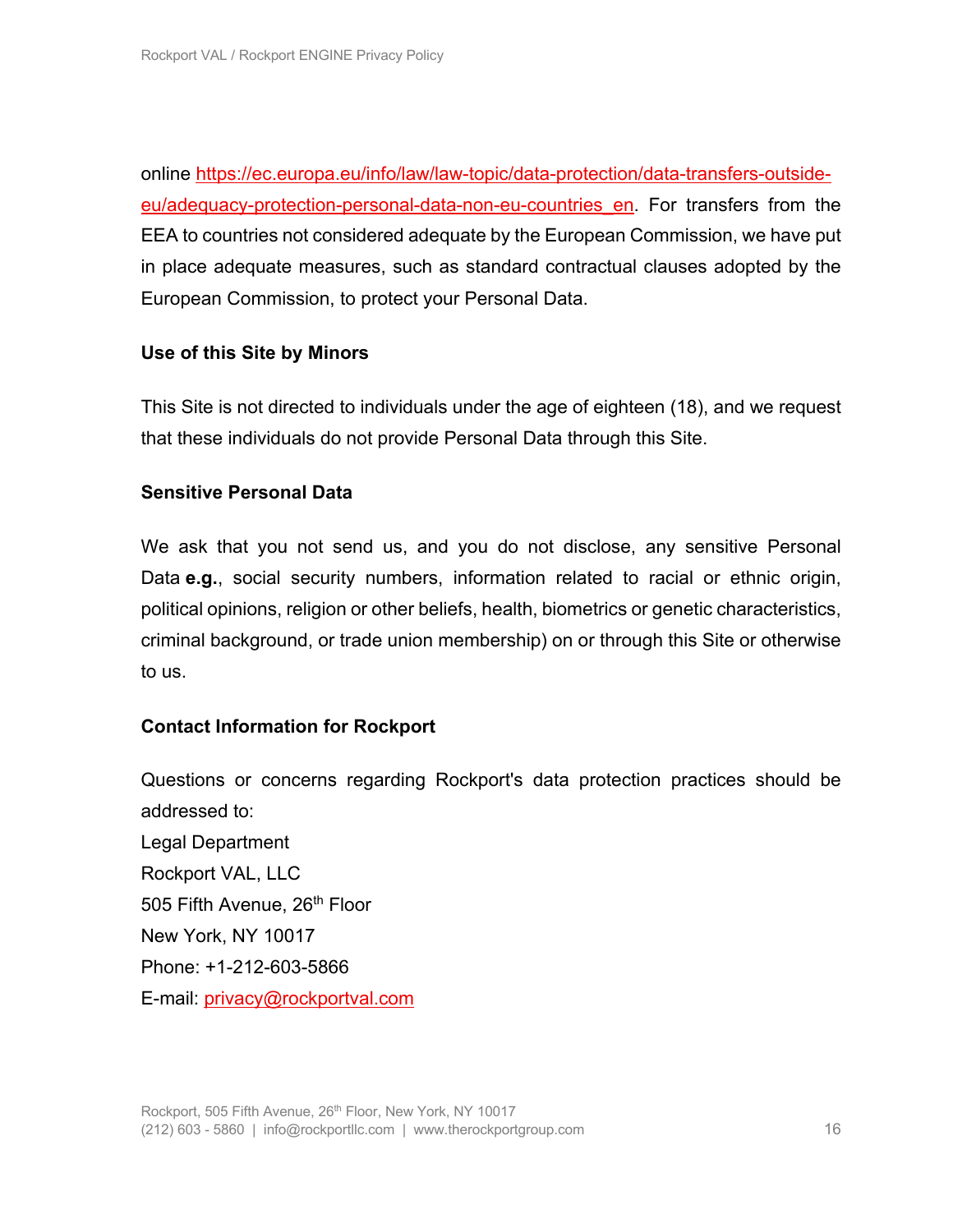online https://ec.europa.eu/info/law/law-topic/data-protection/data-transfers-outsideeu/adequacy-protection-personal-data-non-eu-countries\_en. For transfers from the EEA to countries not considered adequate by the European Commission, we have put in place adequate measures, such as standard contractual clauses adopted by the European Commission, to protect your Personal Data.

# **Use of this Site by Minors**

This Site is not directed to individuals under the age of eighteen (18), and we request that these individuals do not provide Personal Data through this Site.

## **Sensitive Personal Data**

We ask that you not send us, and you do not disclose, any sensitive Personal Data **e.g.**, social security numbers, information related to racial or ethnic origin, political opinions, religion or other beliefs, health, biometrics or genetic characteristics, criminal background, or trade union membership) on or through this Site or otherwise to us.

# **Contact Information for Rockport**

Questions or concerns regarding Rockport's data protection practices should be addressed to: Legal Department Rockport VAL, LLC 505 Fifth Avenue, 26<sup>th</sup> Floor New York, NY 10017 Phone: +1-212-603-5866 E-mail: privacy@rockportval.com